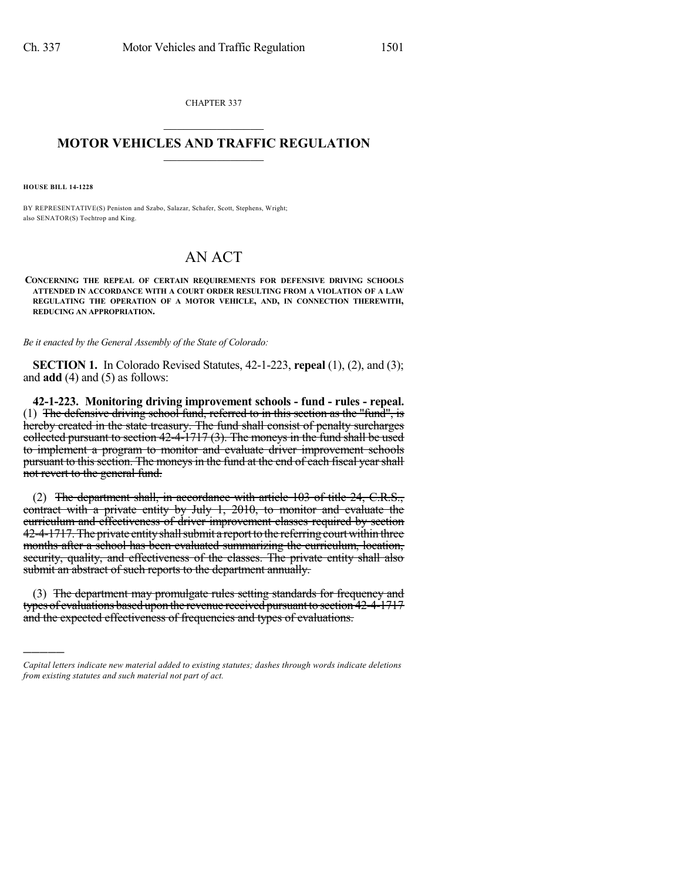CHAPTER 337  $\mathcal{L}_\text{max}$  . The set of the set of the set of the set of the set of the set of the set of the set of the set of the set of the set of the set of the set of the set of the set of the set of the set of the set of the set

## **MOTOR VEHICLES AND TRAFFIC REGULATION**  $\_$   $\_$   $\_$   $\_$   $\_$   $\_$   $\_$   $\_$   $\_$   $\_$

**HOUSE BILL 14-1228**

)))))

BY REPRESENTATIVE(S) Peniston and Szabo, Salazar, Schafer, Scott, Stephens, Wright; also SENATOR(S) Tochtrop and King.

## AN ACT

**CONCERNING THE REPEAL OF CERTAIN REQUIREMENTS FOR DEFENSIVE DRIVING SCHOOLS ATTENDED IN ACCORDANCE WITH A COURT ORDER RESULTING FROM A VIOLATION OF A LAW REGULATING THE OPERATION OF A MOTOR VEHICLE, AND, IN CONNECTION THEREWITH, REDUCING AN APPROPRIATION.**

*Be it enacted by the General Assembly of the State of Colorado:*

**SECTION 1.** In Colorado Revised Statutes, 42-1-223, **repeal** (1), (2), and (3); and **add** (4) and (5) as follows:

**42-1-223. Monitoring driving improvement schools - fund - rules - repeal.** (1) The defensive driving school fund, referred to in this section as the "fund", is hereby created in the state treasury. The fund shall consist of penalty surcharges collected pursuant to section 42-4-1717 (3). The moneys in the fund shall be used to implement a program to monitor and evaluate driver improvement schools pursuant to this section. The moneys in the fund at the end of each fiscal year shall not revert to the general fund.

(2) The department shall, in accordance with article 103 of title 24, C.R.S., contract with a private entity by July 1, 2010, to monitor and evaluate the curriculum and effectiveness of driver improvement classes required by section 42-4-1717. The private entity shall submit a report to the referring court within three months after a school has been evaluated summarizing the curriculum, location, security, quality, and effectiveness of the classes. The private entity shall also submit an abstract of such reports to the department annually.

(3) The department may promulgate rules setting standards for frequency and types of evaluations based upon the revenue received pursuant to section 42-4-1717 and the expected effectiveness of frequencies and types of evaluations.

*Capital letters indicate new material added to existing statutes; dashes through words indicate deletions from existing statutes and such material not part of act.*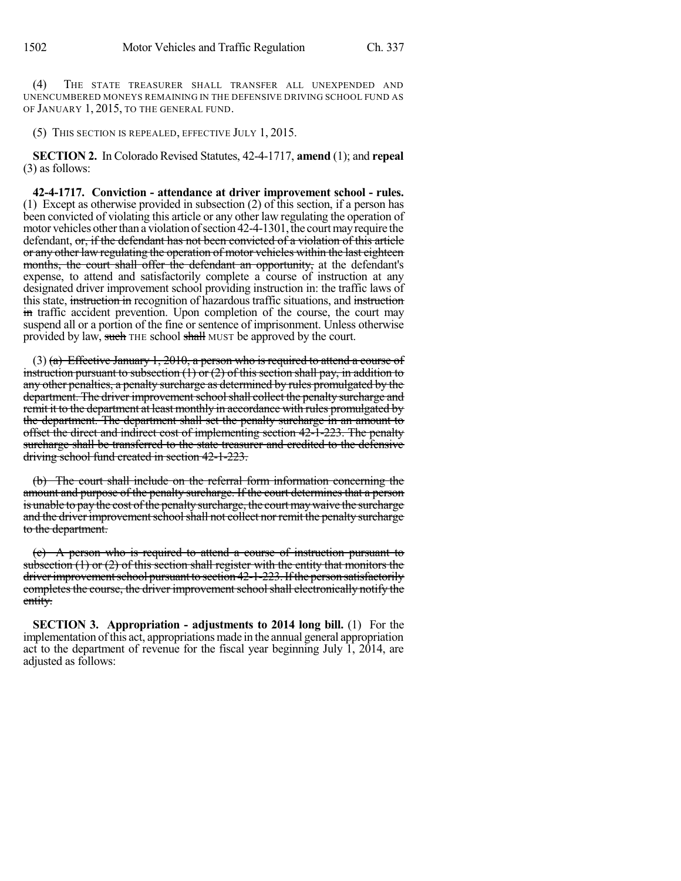(4) THE STATE TREASURER SHALL TRANSFER ALL UNEXPENDED AND UNENCUMBERED MONEYS REMAINING IN THE DEFENSIVE DRIVING SCHOOL FUND AS OF JANUARY 1, 2015, TO THE GENERAL FUND.

(5) THIS SECTION IS REPEALED, EFFECTIVE JULY 1, 2015.

**SECTION 2.** In Colorado Revised Statutes, 42-4-1717, **amend** (1); and **repeal** (3) as follows:

**42-4-1717. Conviction - attendance at driver improvement school - rules.** (1) Except as otherwise provided in subsection (2) of this section, if a person has been convicted of violating this article or any other law regulating the operation of motor vehicles other than a violation of section 42-4-1301, the court may require the defendant, or, if the defendant has not been convicted of a violation of this article or any other law regulating the operation of motor vehicles within the last eighteen months, the court shall offer the defendant an opportunity, at the defendant's expense, to attend and satisfactorily complete a course of instruction at any designated driver improvement school providing instruction in: the traffic laws of this state, instruction in recognition of hazardous traffic situations, and instruction in traffic accident prevention. Upon completion of the course, the court may suspend all or a portion of the fine or sentence of imprisonment. Unless otherwise provided by law, such THE school shall MUST be approved by the court.

(3) (a) Effective January 1, 2010, a person who is required to attend a course of instruction pursuant to subsection  $(1)$  or  $(2)$  of this section shall pay, in addition to any other penalties, a penalty surcharge as determined by rules promulgated by the department. The driver improvement school shall collect the penalty surcharge and remit it to the department at least monthly in accordance with rules promulgated by the department. The department shall set the penalty surcharge in an amount to offset the direct and indirect cost of implementing section 42-1-223. The penalty surcharge shall be transferred to the state treasurer and credited to the defensive driving school fund created in section 42-1-223.

(b) The court shall include on the referral form information concerning the amount and purpose of the penalty surcharge. If the court determines that a person is unable to pay the cost of the penalty surcharge, the court may waive the surcharge and the driver improvement school shall not collect nor remit the penalty surcharge to the department.

(c) A person who is required to attend a course of instruction pursuant to subsection  $(1)$  or  $(2)$  of this section shall register with the entity that monitors the driver improvement school pursuant to section 42-1-223. If the person satisfactorily completes the course, the driver improvement school shall electronically notify the entity.

**SECTION 3. Appropriation - adjustments to 2014 long bill.** (1) For the implementation ofthis act, appropriations made in the annual general appropriation act to the department of revenue for the fiscal year beginning July 1, 2014, are adjusted as follows: